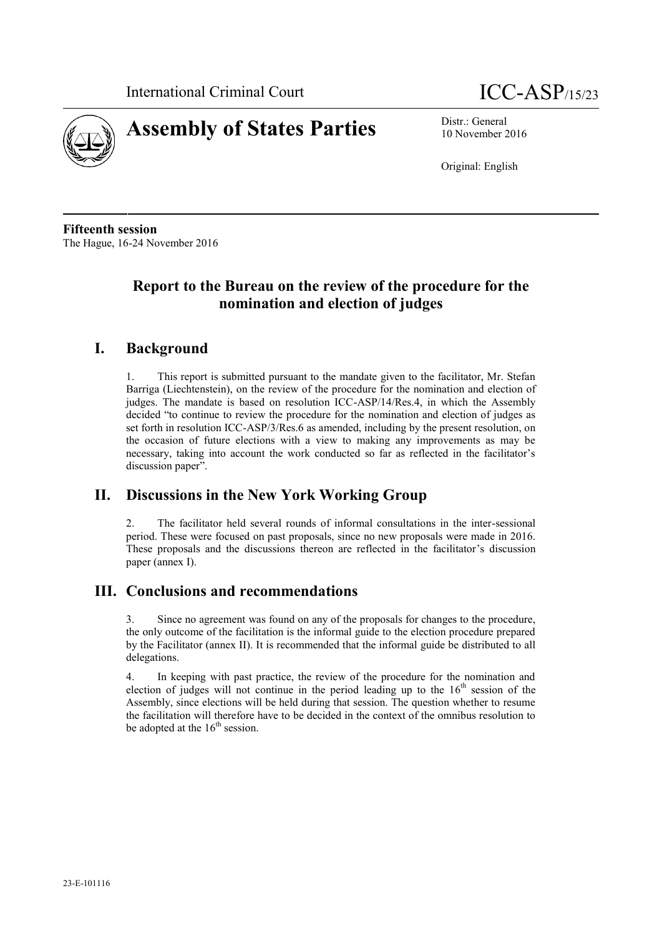



10 November 2016

Original: English

**Fifteenth session** The Hague, 16-24 November 2016

# **Report to the Bureau on the review of the procedure for the nomination and election of judges**

# **I. Background**

1. This report is submitted pursuant to the mandate given to the facilitator, Mr. Stefan Barriga (Liechtenstein), on the review of the procedure for the nomination and election of judges. The mandate is based on resolution ICC-ASP/14/Res.4, in which the Assembly decided "to continue to review the procedure for the nomination and election of judges as set forth in resolution ICC-ASP/3/Res.6 as amended, including by the present resolution, on the occasion of future elections with a view to making any improvements as may be necessary, taking into account the work conducted so far as reflected in the facilitator's discussion paper".

# **II. Discussions in the New York Working Group**

2. The facilitator held several rounds of informal consultations in the inter-sessional period. These were focused on past proposals, since no new proposals were made in 2016. These proposals and the discussions thereon are reflected in the facilitator's discussion paper (annex I).

# **III. Conclusions and recommendations**

3. Since no agreement was found on any of the proposals for changes to the procedure, the only outcome of the facilitation is the informal guide to the election procedure prepared by the Facilitator (annex II). It is recommended that the informal guide be distributed to all delegations.

4. In keeping with past practice, the review of the procedure for the nomination and election of judges will not continue in the period leading up to the  $16<sup>th</sup>$  session of the Assembly, since elections will be held during that session. The question whether to resume the facilitation will therefore have to be decided in the context of the omnibus resolution to be adopted at the  $16<sup>th</sup>$  session.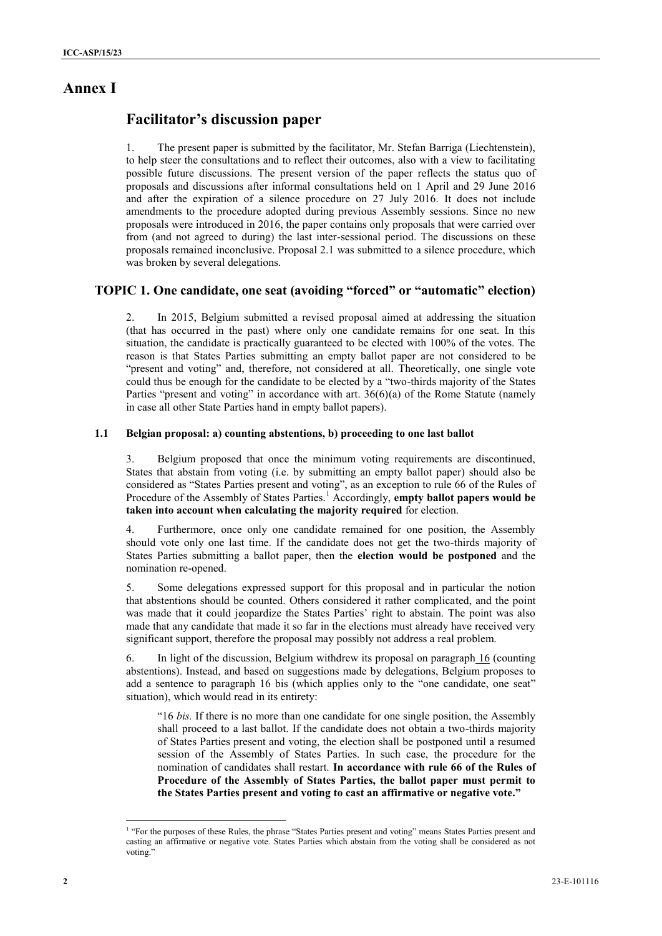## **Annex I**

## **Facilitator's discussion paper**

1. The present paper is submitted by the facilitator, Mr. Stefan Barriga (Liechtenstein), to help steer the consultations and to reflect their outcomes, also with a view to facilitating possible future discussions. The present version of the paper reflects the status quo of proposals and discussions after informal consultations held on 1 April and 29 June 2016 and after the expiration of a silence procedure on 27 July 2016. It does not include amendments to the procedure adopted during previous Assembly sessions. Since no new proposals were introduced in 2016, the paper contains only proposals that were carried over from (and not agreed to during) the last inter-sessional period. The discussions on these proposals remained inconclusive. Proposal 2.1 was submitted to a silence procedure, which was broken by several delegations.

### **TOPIC 1. One candidate, one seat (avoiding "forced" or "automatic" election)**

2. In 2015, Belgium submitted a revised proposal aimed at addressing the situation (that has occurred in the past) where only one candidate remains for one seat. In this situation, the candidate is practically guaranteed to be elected with 100% of the votes. The reason is that States Parties submitting an empty ballot paper are not considered to be "present and voting" and, therefore, not considered at all. Theoretically, one single vote could thus be enough for the candidate to be elected by a "two-thirds majority of the States Parties "present and voting" in accordance with art.  $36(6)(a)$  of the Rome Statute (namely in case all other State Parties hand in empty ballot papers).

#### **1.1 Belgian proposal: a) counting abstentions, b) proceeding to one last ballot**

3. Belgium proposed that once the minimum voting requirements are discontinued, States that abstain from voting (i.e. by submitting an empty ballot paper) should also be considered as "States Parties present and voting", as an exception to rule 66 of the Rules of Procedure of the Assembly of States Parties.<sup>1</sup> Accordingly, **empty ballot papers would be taken into account when calculating the majority required** for election.

4. Furthermore, once only one candidate remained for one position, the Assembly should vote only one last time. If the candidate does not get the two-thirds majority of States Parties submitting a ballot paper, then the **election would be postponed** and the nomination re-opened.

5. Some delegations expressed support for this proposal and in particular the notion that abstentions should be counted. Others considered it rather complicated, and the point was made that it could jeopardize the States Parties' right to abstain. The point was also made that any candidate that made it so far in the elections must already have received very significant support, therefore the proposal may possibly not address a real problem.

6. In light of the discussion, Belgium withdrew its proposal on paragraph 16 (counting abstentions). Instead, and based on suggestions made by delegations, Belgium proposes to add a sentence to paragraph 16 bis (which applies only to the "one candidate, one seat" situation), which would read in its entirety:

"16 *bis.* If there is no more than one candidate for one single position, the Assembly shall proceed to a last ballot. If the candidate does not obtain a two-thirds majority of States Parties present and voting, the election shall be postponed until a resumed session of the Assembly of States Parties. In such case, the procedure for the nomination of candidates shall restart. **In accordance with rule 66 of the Rules of Procedure of the Assembly of States Parties, the ballot paper must permit to the States Parties present and voting to cast an affirmative or negative vote."**

<sup>&</sup>lt;sup>1</sup> "For the purposes of these Rules, the phrase "States Parties present and voting" means States Parties present and casting an affirmative or negative vote. States Parties which abstain from the voting shall be considered as not voting.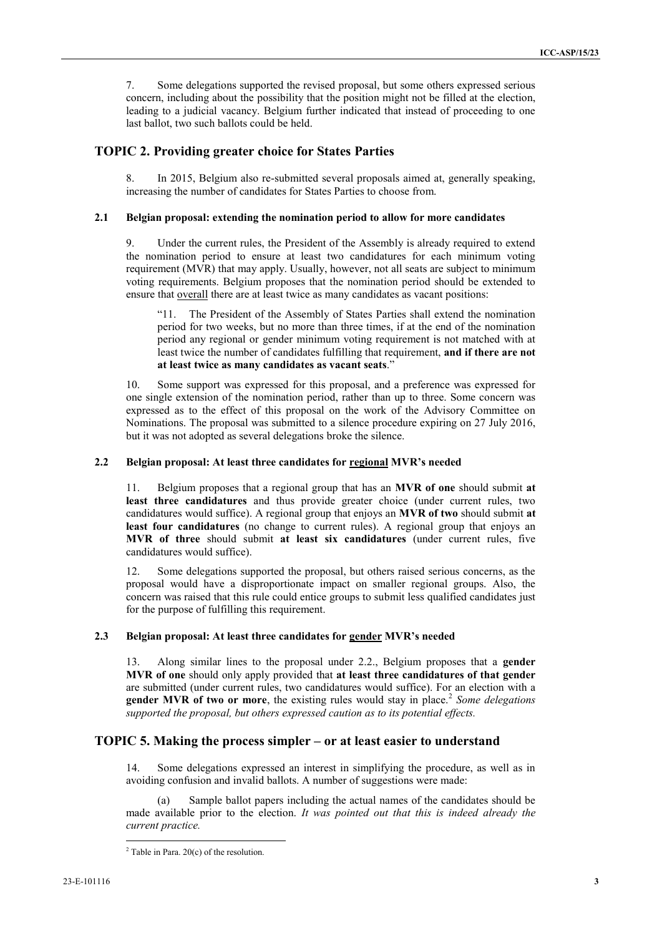7. Some delegations supported the revised proposal, but some others expressed serious concern, including about the possibility that the position might not be filled at the election, leading to a judicial vacancy. Belgium further indicated that instead of proceeding to one last ballot, two such ballots could be held.

### **TOPIC 2. Providing greater choice for States Parties**

8. In 2015, Belgium also re-submitted several proposals aimed at, generally speaking, increasing the number of candidates for States Parties to choose from.

#### **2.1 Belgian proposal: extending the nomination period to allow for more candidates**

9. Under the current rules, the President of the Assembly is already required to extend the nomination period to ensure at least two candidatures for each minimum voting requirement (MVR) that may apply. Usually, however, not all seats are subject to minimum voting requirements. Belgium proposes that the nomination period should be extended to ensure that overall there are at least twice as many candidates as vacant positions:

"11. The President of the Assembly of States Parties shall extend the nomination period for two weeks, but no more than three times, if at the end of the nomination period any regional or gender minimum voting requirement is not matched with at least twice the number of candidates fulfilling that requirement, **and if there are not at least twice as many candidates as vacant seats**."

10. Some support was expressed for this proposal, and a preference was expressed for one single extension of the nomination period, rather than up to three. Some concern was expressed as to the effect of this proposal on the work of the Advisory Committee on Nominations. The proposal was submitted to a silence procedure expiring on 27 July 2016, but it was not adopted as several delegations broke the silence.

#### **2.2 Belgian proposal: At least three candidates for regional MVR's needed**

11. Belgium proposes that a regional group that has an **MVR of one** should submit **at least three candidatures** and thus provide greater choice (under current rules, two candidatures would suffice). A regional group that enjoys an **MVR of two** should submit **at least four candidatures** (no change to current rules). A regional group that enjoys an **MVR of three** should submit **at least six candidatures** (under current rules, five candidatures would suffice).

12. Some delegations supported the proposal, but others raised serious concerns, as the proposal would have a disproportionate impact on smaller regional groups. Also, the concern was raised that this rule could entice groups to submit less qualified candidates just for the purpose of fulfilling this requirement.

#### **2.3 Belgian proposal: At least three candidates for gender MVR's needed**

13. Along similar lines to the proposal under 2.2., Belgium proposes that a **gender MVR of one** should only apply provided that **at least three candidatures of that gender** are submitted (under current rules, two candidatures would suffice). For an election with a **gender MVR of two or more**, the existing rules would stay in place.<sup>2</sup> *Some delegations supported the proposal, but others expressed caution as to its potential effects.*

### **TOPIC 5. Making the process simpler – or at least easier to understand**

14. Some delegations expressed an interest in simplifying the procedure, as well as in avoiding confusion and invalid ballots. A number of suggestions were made:

(a) Sample ballot papers including the actual names of the candidates should be made available prior to the election. *It was pointed out that this is indeed already the current practice.*

 $2$  Table in Para. 20(c) of the resolution.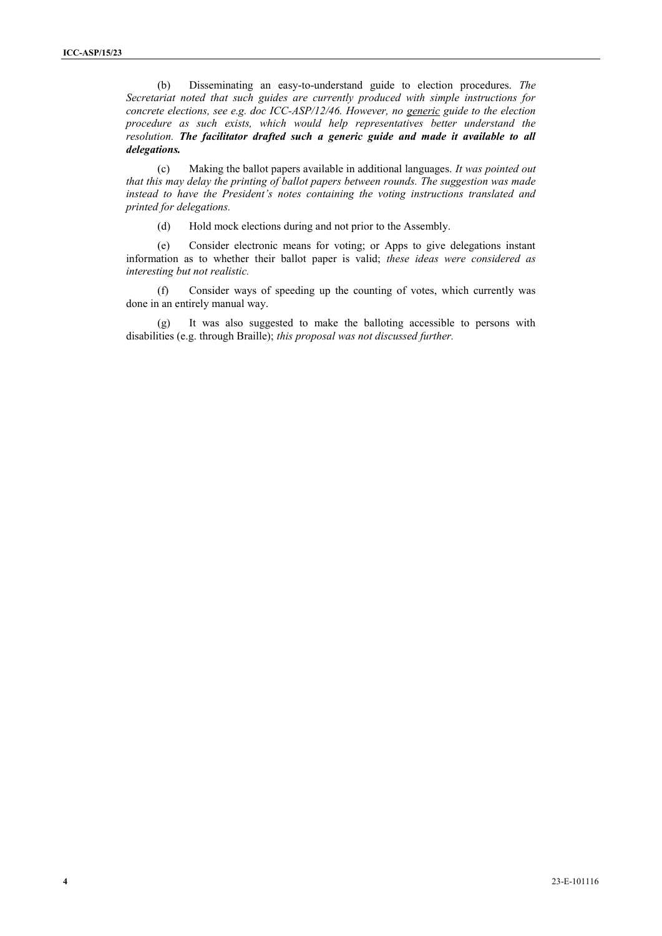(b) Disseminating an easy-to-understand guide to election procedures. *The Secretariat noted that such guides are currently produced with simple instructions for concrete elections, see e.g. doc ICC-ASP/12/46. However, no generic guide to the election procedure as such exists, which would help representatives better understand the resolution. The facilitator drafted such a generic guide and made it available to all delegations.*

(c) Making the ballot papers available in additional languages. *It was pointed out that this may delay the printing of ballot papers between rounds. The suggestion was made instead to have the President's notes containing the voting instructions translated and printed for delegations.*

(d) Hold mock elections during and not prior to the Assembly.

(e) Consider electronic means for voting; or Apps to give delegations instant information as to whether their ballot paper is valid; *these ideas were considered as interesting but not realistic.*

(f) Consider ways of speeding up the counting of votes, which currently was done in an entirely manual way.

(g) It was also suggested to make the balloting accessible to persons with disabilities (e.g. through Braille); *this proposal was not discussed further.*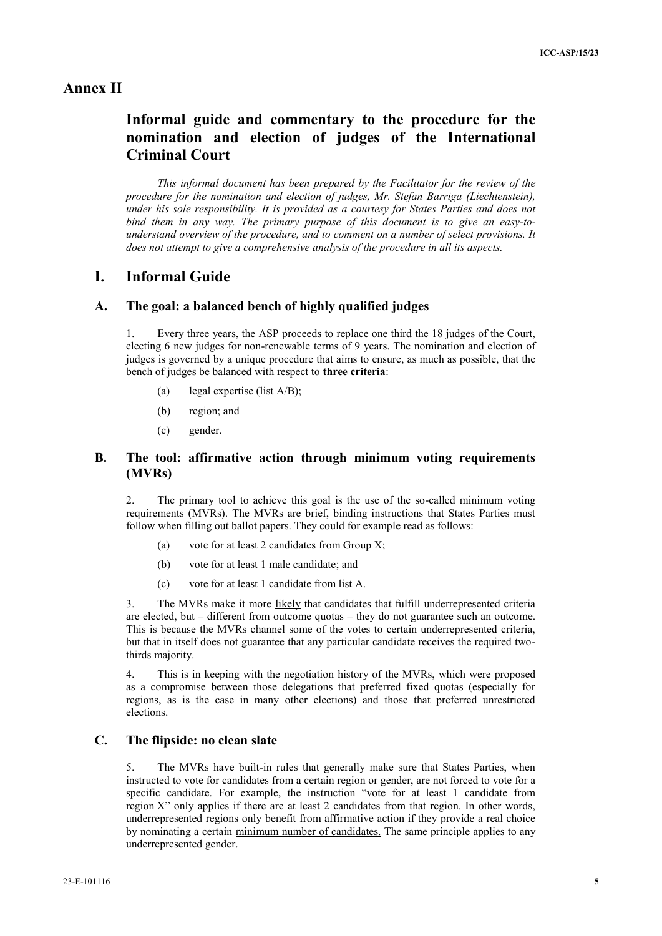## **Annex II**

# **Informal guide and commentary to the procedure for the nomination and election of judges of the International Criminal Court**

*This informal document has been prepared by the Facilitator for the review of the procedure for the nomination and election of judges, Mr. Stefan Barriga (Liechtenstein), under his sole responsibility. It is provided as a courtesy for States Parties and does not bind them in any way. The primary purpose of this document is to give an easy-to understand overview of the procedure, and to comment on a number of select provisions. It does not attempt to give a comprehensive analysis of the procedure in all its aspects.*

## **I. Informal Guide**

#### **A. The goal: a balanced bench of highly qualified judges**

1. Every three years, the ASP proceeds to replace one third the 18 judges of the Court, electing 6 new judges for non-renewable terms of 9 years. The nomination and election of judges is governed by a unique procedure that aims to ensure, as much as possible, that the bench of judges be balanced with respect to **three criteria**:

- (a) legal expertise (list A/B);
- (b) region; and
- (c) gender.

## **B. The tool: affirmative action through minimum voting requirements (MVRs)**

2. The primary tool to achieve this goal is the use of the so-called minimum voting requirements (MVRs). The MVRs are brief, binding instructions that States Parties must follow when filling out ballot papers. They could for example read as follows:

- (a) vote for at least 2 candidates from Group X;
- (b) vote for at least 1 male candidate; and
- (c) vote for at least 1 candidate from list A.

3. The MVRs make it more likely that candidates that fulfill underrepresented criteria are elected, but – different from outcome quotas – they do not guarantee such an outcome. This is because the MVRs channel some of the votes to certain underrepresented criteria, but that in itself does not guarantee that any particular candidate receives the required twothirds majority.

4. This is in keeping with the negotiation history of the MVRs, which were proposed as a compromise between those delegations that preferred fixed quotas (especially for regions, as is the case in many other elections) and those that preferred unrestricted elections.

### **C. The flipside: no clean slate**

5. The MVRs have built-in rules that generally make sure that States Parties, when instructed to vote for candidates from a certain region or gender, are not forced to vote for a specific candidate. For example, the instruction "vote for at least 1 candidate from region X" only applies if there are at least 2 candidates from that region. In other words, underrepresented regions only benefit from affirmative action if they provide a real choice by nominating a certain minimum number of candidates. The same principle applies to any underrepresented gender.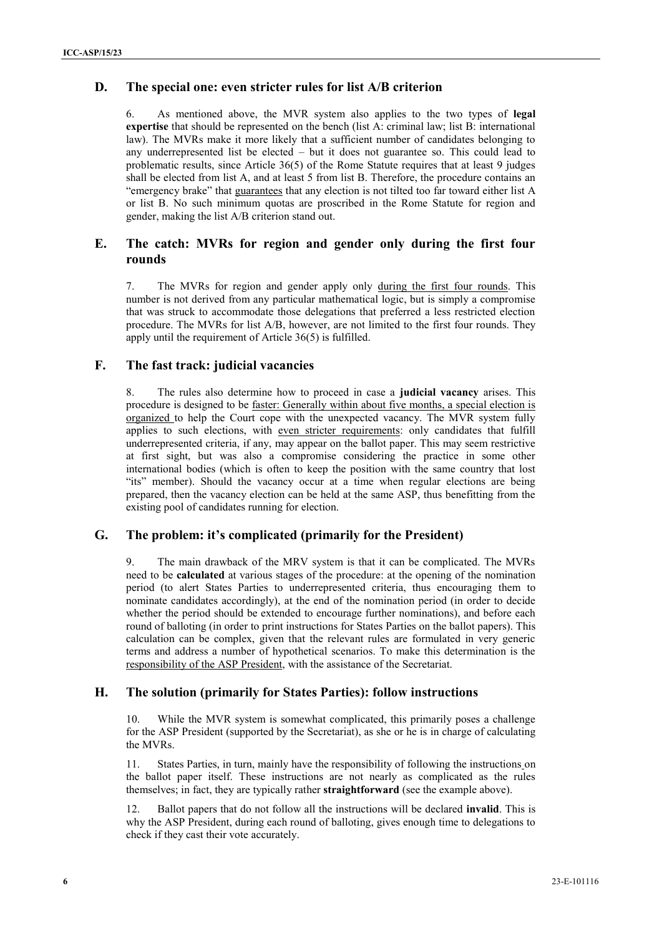### **D. The special one: even stricter rules for list A/B criterion**

6. As mentioned above, the MVR system also applies to the two types of **legal expertise** that should be represented on the bench (list A: criminal law; list B: international law). The MVRs make it more likely that a sufficient number of candidates belonging to any underrepresented list be elected – but it does not guarantee so. This could lead to problematic results, since Article 36(5) of the Rome Statute requires that at least 9 judges shall be elected from list A, and at least 5 from list B. Therefore, the procedure contains an "emergency brake" that guarantees that any election is not tilted too far toward either list A or list B. No such minimum quotas are proscribed in the Rome Statute for region and gender, making the list A/B criterion stand out.

## **E. The catch: MVRs for region and gender only during the first four rounds**

7. The MVRs for region and gender apply only during the first four rounds. This number is not derived from any particular mathematical logic, but is simply a compromise that was struck to accommodate those delegations that preferred a less restricted election procedure. The MVRs for list A/B, however, are not limited to the first four rounds. They apply until the requirement of Article 36(5) is fulfilled.

### **F. The fast track: judicial vacancies**

8. The rules also determine how to proceed in case a **judicial vacancy** arises. This procedure is designed to be faster: Generally within about five months, a special election is organized to help the Court cope with the unexpected vacancy. The MVR system fully applies to such elections, with even stricter requirements: only candidates that fulfill underrepresented criteria, if any, may appear on the ballot paper. This may seem restrictive at first sight, but was also a compromise considering the practice in some other international bodies (which is often to keep the position with the same country that lost "its" member). Should the vacancy occur at a time when regular elections are being prepared, then the vacancy election can be held at the same ASP, thus benefitting from the existing pool of candidates running for election.

### **G. The problem: it's complicated (primarily for the President)**

9. The main drawback of the MRV system is that it can be complicated. The MVRs need to be **calculated** at various stages of the procedure: at the opening of the nomination period (to alert States Parties to underrepresented criteria, thus encouraging them to nominate candidates accordingly), at the end of the nomination period (in order to decide whether the period should be extended to encourage further nominations), and before each round of balloting (in order to print instructions for States Parties on the ballot papers). This calculation can be complex, given that the relevant rules are formulated in very generic terms and address a number of hypothetical scenarios. To make this determination is the responsibility of the ASP President, with the assistance of the Secretariat.

## **H. The solution (primarily for States Parties): follow instructions**

10. While the MVR system is somewhat complicated, this primarily poses a challenge for the ASP President (supported by the Secretariat), as she or he is in charge of calculating the MVRs.

11. States Parties, in turn, mainly have the responsibility of following the instructions on the ballot paper itself. These instructions are not nearly as complicated as the rules themselves; in fact, they are typically rather **straightforward** (see the example above).

12. Ballot papers that do not follow all the instructions will be declared **invalid**. This is why the ASP President, during each round of balloting, gives enough time to delegations to check if they cast their vote accurately.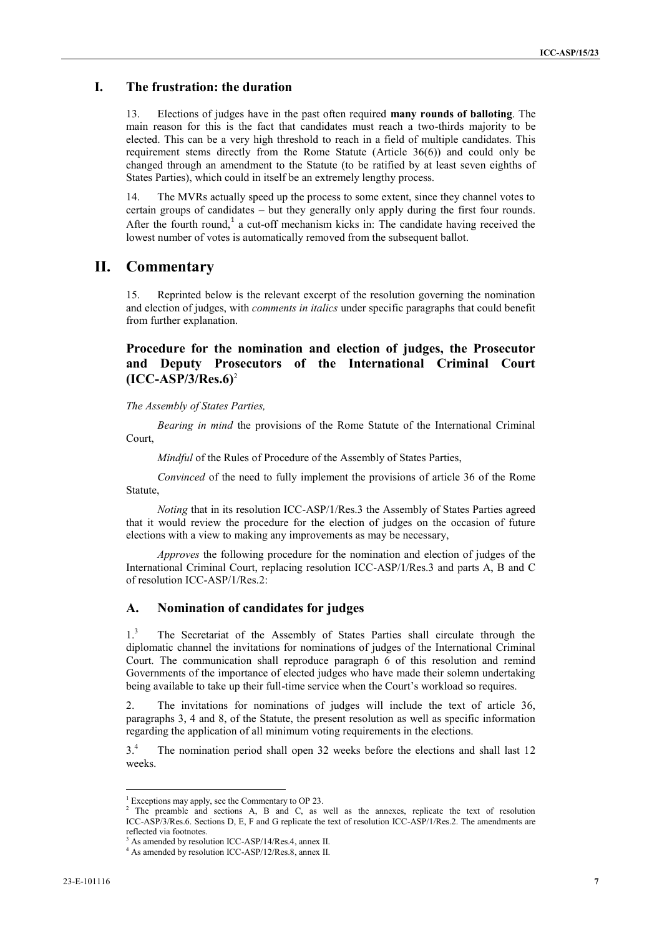## **I. The frustration: the duration**

13. Elections of judges have in the past often required **many rounds of balloting**. The main reason for this is the fact that candidates must reach a two-thirds majority to be elected. This can be a very high threshold to reach in a field of multiple candidates. This requirement stems directly from the Rome Statute (Article 36(6)) and could only be changed through an amendment to the Statute (to be ratified by at least seven eighths of States Parties), which could in itself be an extremely lengthy process.

14. The MVRs actually speed up the process to some extent, since they channel votes to certain groups of candidates – but they generally only apply during the first four rounds. After the fourth round,<sup>1</sup> a cut-off mechanism kicks in: The candidate having received the lowest number of votes is automatically removed from the subsequent ballot.

## **II. Commentary**

15. Reprinted below is the relevant excerpt of the resolution governing the nomination and election of judges, with *comments in italics* under specific paragraphs that could benefit from further explanation.

## **Procedure for the nomination and election of judges, the Prosecutor and Deputy Prosecutors of the International Criminal Court (ICC-ASP/3/Res.6)**<sup>2</sup>

*The Assembly of States Parties,*

*Bearing in mind* the provisions of the Rome Statute of the International Criminal Court,

*Mindful* of the Rules of Procedure of the Assembly of States Parties,

*Convinced* of the need to fully implement the provisions of article 36 of the Rome Statute,

*Noting* that in its resolution ICC-ASP/1/Res.3 the Assembly of States Parties agreed that it would review the procedure for the election of judges on the occasion of future elections with a view to making any improvements as may be necessary,

*Approves* the following procedure for the nomination and election of judges of the International Criminal Court, replacing resolution ICC-ASP/1/Res.3 and parts A, B and C of resolution ICC-ASP/1/Res.2:

#### **A. Nomination of candidates for judges**

1.<sup>3</sup> The Secretariat of the Assembly of States Parties shall circulate through the diplomatic channel the invitations for nominations of judges of the International Criminal Court. The communication shall reproduce paragraph 6 of this resolution and remind Governments of the importance of elected judges who have made their solemn undertaking being available to take up their full-time service when the Court's workload so requires.

2. The invitations for nominations of judges will include the text of article 36, paragraphs 3, 4 and 8, of the Statute, the present resolution as well as specific information regarding the application of all minimum voting requirements in the elections.

3.<sup>4</sup> The nomination period shall open 32 weeks before the elections and shall last 12 weeks.

<sup>&</sup>lt;sup>1</sup> Exceptions may apply, see the Commentary to OP 23.

<sup>&</sup>lt;sup>2</sup> The preamble and sections A, B and C, as well as the annexes, replicate the text of resolution ICC-ASP/3/Res.6. Sections D, E, F and G replicate the text of resolution ICC-ASP/1/Res.2. The amendments are reflected via footnotes.

<sup>&</sup>lt;sup>3</sup> As amended by resolution ICC-ASP/14/Res.4, annex II. <sup>4</sup> As amended by resolution ICC-ASP/12/Res.8, annex II.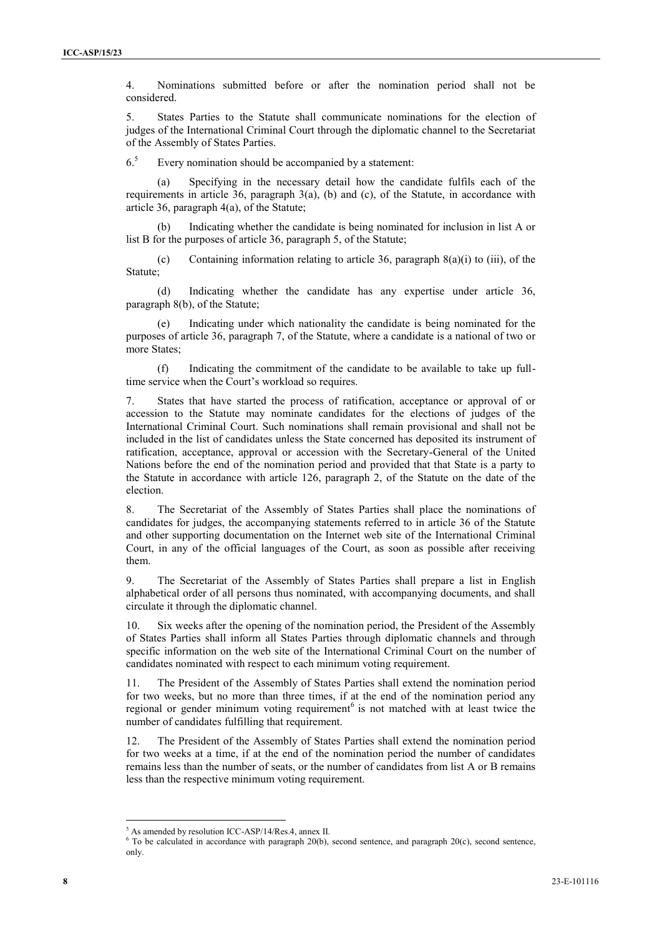4. Nominations submitted before or after the nomination period shall not be considered.

5. States Parties to the Statute shall communicate nominations for the election of judges of the International Criminal Court through the diplomatic channel to the Secretariat of the Assembly of States Parties.

 $6<sup>5</sup>$  Every nomination should be accompanied by a statement:

(a) Specifying in the necessary detail how the candidate fulfils each of the requirements in article 36, paragraph  $3(a)$ , (b) and (c), of the Statute, in accordance with article 36, paragraph 4(a), of the Statute;

Indicating whether the candidate is being nominated for inclusion in list A or list B for the purposes of article 36, paragraph 5, of the Statute;

(c) Containing information relating to article 36, paragraph  $8(a)(i)$  to (iii), of the Statute;

(d) Indicating whether the candidate has any expertise under article 36, paragraph 8(b), of the Statute;

(e) Indicating under which nationality the candidate is being nominated for the purposes of article 36, paragraph 7, of the Statute, where a candidate is a national of two or more States:

(f) Indicating the commitment of the candidate to be available to take up fulltime service when the Court's workload so requires.

7. States that have started the process of ratification, acceptance or approval of or accession to the Statute may nominate candidates for the elections of judges of the International Criminal Court. Such nominations shall remain provisional and shall not be included in the list of candidates unless the State concerned has deposited its instrument of ratification, acceptance, approval or accession with the Secretary-General of the United Nations before the end of the nomination period and provided that that State is a party to the Statute in accordance with article 126, paragraph 2, of the Statute on the date of the election.

8. The Secretariat of the Assembly of States Parties shall place the nominations of candidates for judges, the accompanying statements referred to in article 36 of the Statute and other supporting documentation on the Internet web site of the International Criminal Court, in any of the official languages of the Court, as soon as possible after receiving them.

9. The Secretariat of the Assembly of States Parties shall prepare a list in English alphabetical order of all persons thus nominated, with accompanying documents, and shall circulate it through the diplomatic channel.

10. Six weeks after the opening of the nomination period, the President of the Assembly of States Parties shall inform all States Parties through diplomatic channels and through specific information on the web site of the International Criminal Court on the number of candidates nominated with respect to each minimum voting requirement.

11. The President of the Assembly of States Parties shall extend the nomination period for two weeks, but no more than three times, if at the end of the nomination period any regional or gender minimum voting requirement<sup>6</sup> is not matched with at least twice the number of candidates fulfilling that requirement.

12. The President of the Assembly of States Parties shall extend the nomination period for two weeks at a time, if at the end of the nomination period the number of candidates remains less than the number of seats, or the number of candidates from list A or B remains less than the respective minimum voting requirement.

<sup>5</sup> As amended by resolution ICC-ASP/14/Res.4, annex II.

<sup>&</sup>lt;sup>6</sup> To be calculated in accordance with paragraph 20(b), second sentence, and paragraph 20(c), second sentence, only.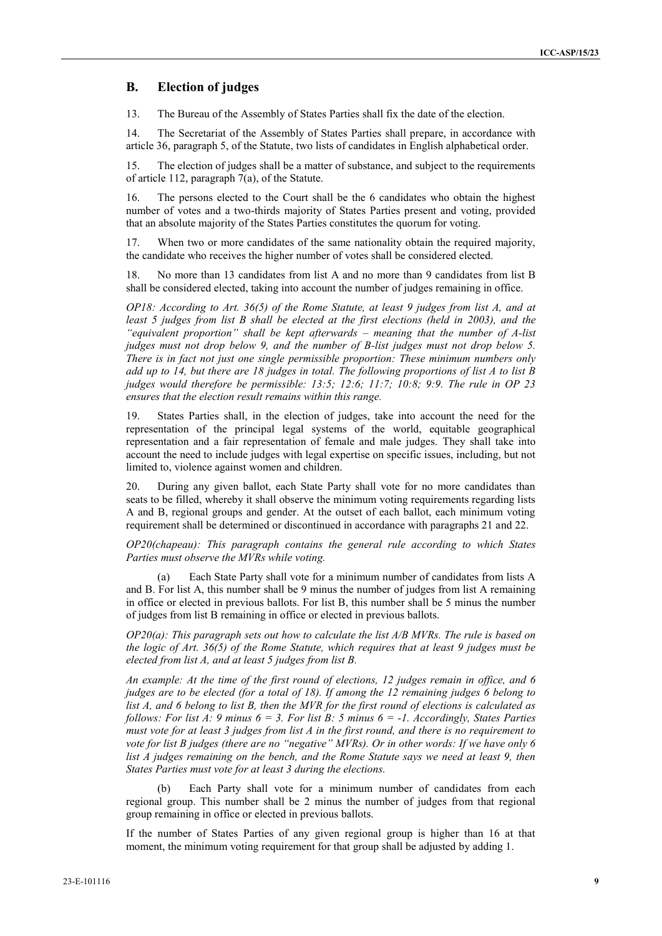### **B. Election of judges**

13. The Bureau of the Assembly of States Parties shall fix the date of the election.

14. The Secretariat of the Assembly of States Parties shall prepare, in accordance with article 36, paragraph 5, of the Statute, two lists of candidates in English alphabetical order.

15. The election of judges shall be a matter of substance, and subject to the requirements of article 112, paragraph  $7(a)$ , of the Statute.

16. The persons elected to the Court shall be the 6 candidates who obtain the highest number of votes and a two-thirds majority of States Parties present and voting, provided that an absolute majority of the States Parties constitutes the quorum for voting.

17. When two or more candidates of the same nationality obtain the required majority, the candidate who receives the higher number of votes shall be considered elected.

18. No more than 13 candidates from list A and no more than 9 candidates from list B shall be considered elected, taking into account the number of judges remaining in office.

*OP18: According to Art. 36(5) of the Rome Statute, at least 9 judges from list A, and at least 5 judges from list B shall be elected at the first elections (held in 2003), and the "equivalent proportion" shall be kept afterwards – meaning that the number of A-list judges must not drop below 9, and the number of B-list judges must not drop below 5. There is in fact not just one single permissible proportion: These minimum numbers only add up to 14, but there are 18 judges in total. The following proportions of list A to list B judges would therefore be permissible: 13:5; 12:6; 11:7; 10:8; 9:9. The rule in OP 23 ensures that the election result remains within this range.*

19. States Parties shall, in the election of judges, take into account the need for the representation of the principal legal systems of the world, equitable geographical representation and a fair representation of female and male judges. They shall take into account the need to include judges with legal expertise on specific issues, including, but not limited to, violence against women and children.

20. During any given ballot, each State Party shall vote for no more candidates than seats to be filled, whereby it shall observe the minimum voting requirements regarding lists A and B, regional groups and gender. At the outset of each ballot, each minimum voting requirement shall be determined or discontinued in accordance with paragraphs 21 and 22.

*OP20(chapeau): This paragraph contains the general rule according to which States Parties must observe the MVRs while voting.*

(a) Each State Party shall vote for a minimum number of candidates from lists A and B. For list A, this number shall be 9 minus the number of judges from list A remaining in office or elected in previous ballots. For list B, this number shall be 5 minus the number of judges from list B remaining in office or elected in previous ballots.

*OP20(a): This paragraph sets out how to calculate the list A/B MVRs. The rule is based on the logic of Art. 36(5) of the Rome Statute, which requires that at least 9 judges must be elected from list A, and at least 5 judges from list B.*

*An example: At the time of the first round of elections, 12 judges remain in office, and 6 judges are to be elected (for a total of 18). If among the 12 remaining judges 6 belong to list A, and 6 belong to list B, then the MVR for the first round of elections is calculated as follows: For list A: 9 minus 6 = 3. For list B: 5 minus 6 = -1. Accordingly, States Parties must vote for at least 3 judges from list A in the first round, and there is no requirement to vote for list B judges (there are no "negative" MVRs). Or in other words: If we have only 6 list A judges remaining on the bench, and the Rome Statute says we need at least 9, then States Parties must vote for at least 3 during the elections.*

Each Party shall vote for a minimum number of candidates from each regional group. This number shall be 2 minus the number of judges from that regional group remaining in office or elected in previous ballots.

If the number of States Parties of any given regional group is higher than 16 at that moment, the minimum voting requirement for that group shall be adjusted by adding 1.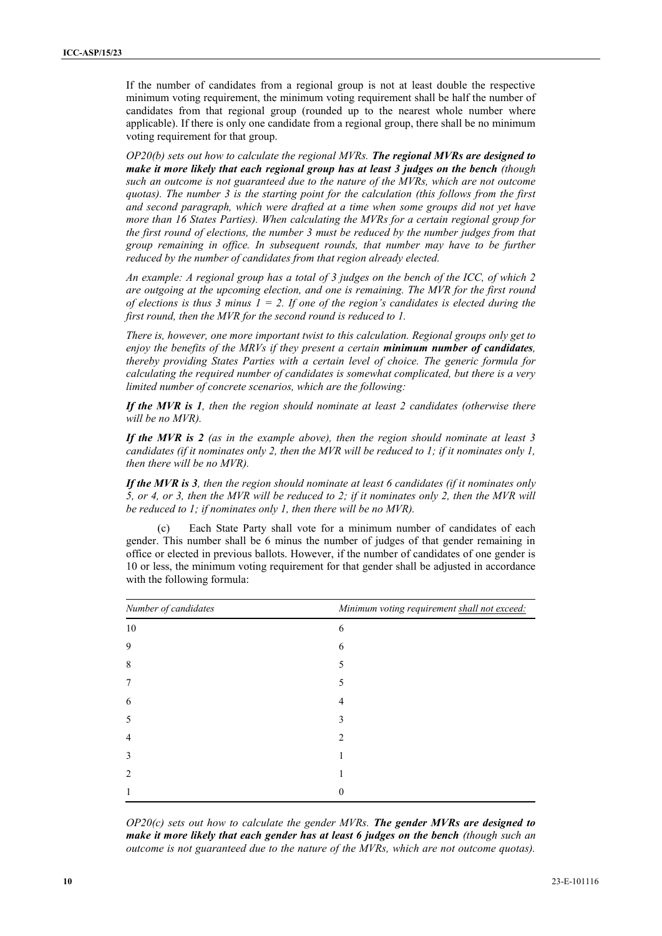If the number of candidates from a regional group is not at least double the respective minimum voting requirement, the minimum voting requirement shall be half the number of candidates from that regional group (rounded up to the nearest whole number where applicable). If there is only one candidate from a regional group, there shall be no minimum voting requirement for that group.

*OP20(b) sets out how to calculate the regional MVRs. The regional MVRs are designed to make it more likely that each regional group has at least 3 judges on the bench (though such an outcome is not guaranteed due to the nature of the MVRs, which are not outcome quotas). The number 3 is the starting point for the calculation (this follows from the first and second paragraph, which were drafted at a time when some groups did not yet have more than 16 States Parties). When calculating the MVRs for a certain regional group for the first round of elections, the number 3 must be reduced by the number judges from that group remaining in office. In subsequent rounds, that number may have to be further reduced by the number of candidates from that region already elected.*

*An example: A regional group has a total of 3 judges on the bench of the ICC, of which 2 are outgoing at the upcoming election, and one is remaining. The MVR for the first round of elections is thus 3 minus*  $1 = 2$ *. If one of the region's candidates is elected during the first round, then the MVR for the second round is reduced to 1.*

*There is, however, one more important twist to this calculation. Regional groups only get to enjoy the benefits of the MRVs if they present a certain minimum number of candidates, thereby providing States Parties with a certain level of choice. The generic formula for calculating the required number of candidates is somewhat complicated, but there is a very limited number of concrete scenarios, which are the following:*

*If the MVR is 1, then the region should nominate at least 2 candidates (otherwise there will be no MVR).*

*If the MVR is 2 (as in the example above), then the region should nominate at least 3 candidates (if it nominates only 2, then the MVR will be reduced to 1; if it nominates only 1, then there will be no MVR).*

*If the MVR is 3, then the region should nominate at least 6 candidates (if it nominates only 5, or 4, or 3, then the MVR will be reduced to 2; if it nominates only 2, then the MVR will be reduced to 1; if nominates only 1, then there will be no MVR).*

(c) Each State Party shall vote for a minimum number of candidates of each gender. This number shall be 6 minus the number of judges of that gender remaining in office or elected in previous ballots. However, if the number of candidates of one gender is 10 or less, the minimum voting requirement for that gender shall be adjusted in accordance with the following formula:

| Number of candidates | Minimum voting requirement shall not exceed: |  |  |
|----------------------|----------------------------------------------|--|--|
| 10                   | 6                                            |  |  |
| 9                    | 6                                            |  |  |
| 8                    |                                              |  |  |
| 7                    |                                              |  |  |
| 6                    |                                              |  |  |
| 5                    |                                              |  |  |
| $\overline{4}$       |                                              |  |  |
| 3                    |                                              |  |  |
| $\mathfrak{D}$       |                                              |  |  |
|                      |                                              |  |  |

*OP20(c) sets out how to calculate the gender MVRs. The gender MVRs are designed to make it more likely that each gender has at least 6 judges on the bench (though such an outcome is not guaranteed due to the nature of the MVRs, which are not outcome quotas).*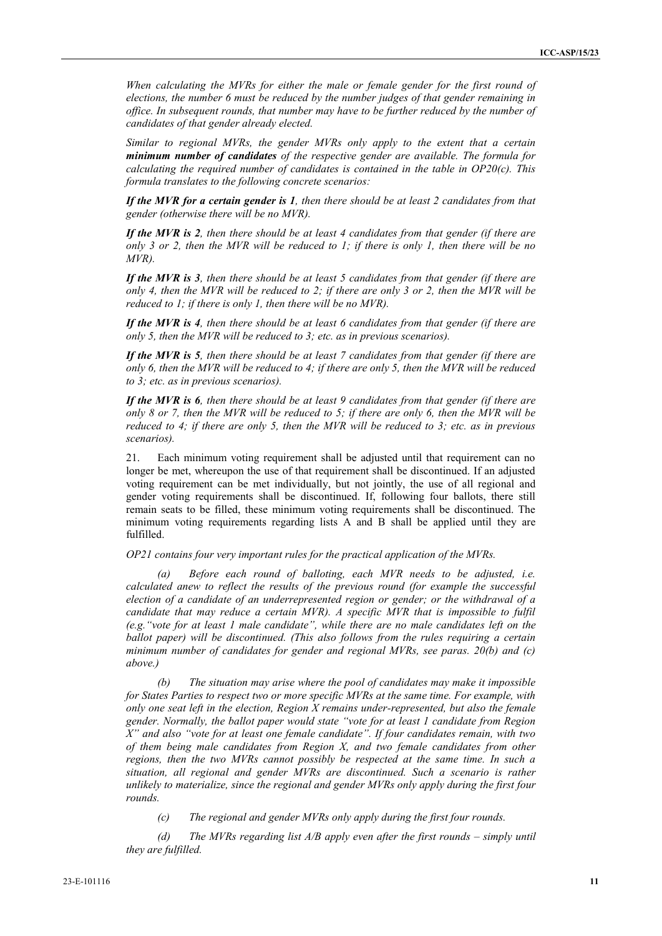*When calculating the MVRs for either the male or female gender for the first round of elections, the number 6 must be reduced by the number judges of that gender remaining in office. In subsequent rounds, that number may have to be further reduced by the number of candidates of that gender already elected.*

*Similar to regional MVRs, the gender MVRs only apply to the extent that a certain minimum number of candidates of the respective gender are available. The formula for calculating the required number of candidates is contained in the table in OP20(c). This formula translates to the following concrete scenarios:*

*If the MVR for a certain gender is 1, then there should be at least 2 candidates from that gender (otherwise there will be no MVR).*

*If the MVR is 2, then there should be at least 4 candidates from that gender (if there are only 3 or 2, then the MVR will be reduced to 1; if there is only 1, then there will be no MVR).*

*If the MVR is 3, then there should be at least 5 candidates from that gender (if there are only 4, then the MVR will be reduced to 2; if there are only 3 or 2, then the MVR will be reduced to 1; if there is only 1, then there will be no MVR).*

*If the MVR is 4, then there should be at least 6 candidates from that gender (if there are only 5, then the MVR will be reduced to 3; etc. as in previous scenarios).*

*If the MVR is 5, then there should be at least 7 candidates from that gender (if there are only 6, then the MVR will be reduced to 4; if there are only 5, then the MVR will be reduced to 3; etc. as in previous scenarios).*

*If the MVR is 6, then there should be at least 9 candidates from that gender (if there are only 8 or 7, then the MVR will be reduced to 5; if there are only 6, then the MVR will be reduced to 4; if there are only 5, then the MVR will be reduced to 3; etc. as in previous scenarios).*

21. Each minimum voting requirement shall be adjusted until that requirement can no longer be met, whereupon the use of that requirement shall be discontinued. If an adjusted voting requirement can be met individually, but not jointly, the use of all regional and gender voting requirements shall be discontinued. If, following four ballots, there still remain seats to be filled, these minimum voting requirements shall be discontinued. The minimum voting requirements regarding lists A and B shall be applied until they are fulfilled.

*OP21 contains four very important rules for the practical application of the MVRs.*

*(a) Before each round of balloting, each MVR needs to be adjusted, i.e. calculated anew to reflect the results of the previous round (for example the successful election of a candidate of an underrepresented region or gender; or the withdrawal of a candidate that may reduce a certain MVR). A specific MVR that is impossible to fulfil (e.g."vote for at least 1 male candidate", while there are no male candidates left on the ballot paper) will be discontinued. (This also follows from the rules requiring a certain minimum number of candidates for gender and regional MVRs, see paras. 20(b) and (c) above.)*

*(b) The situation may arise where the pool of candidates may make it impossible for States Parties to respect two or more specific MVRs at the same time. For example, with only one seat left in the election, Region X remains under-represented, but also the female gender. Normally, the ballot paper would state "vote for at least 1 candidate from Region X" and also "vote for at least one female candidate". If four candidates remain, with two of them being male candidates from Region X, and two female candidates from other regions, then the two MVRs cannot possibly be respected at the same time. In such a situation, all regional and gender MVRs are discontinued. Such a scenario is rather unlikely to materialize, since the regional and gender MVRs only apply during the first four rounds.*

*(c) The regional and gender MVRs only apply during the first four rounds.*

*(d) The MVRs regarding list A/B apply even after the first rounds – simply until they are fulfilled.*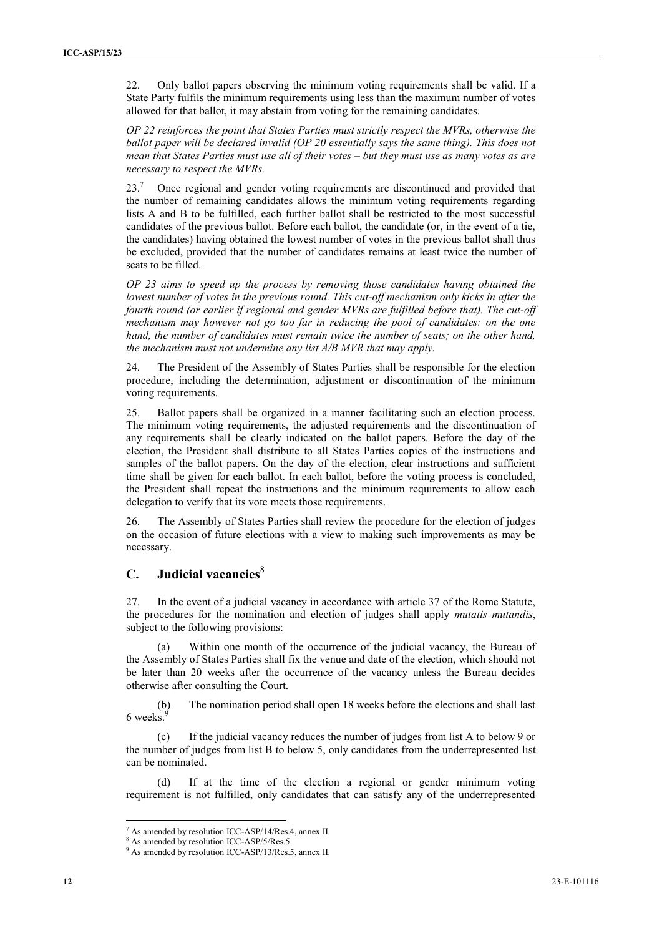22. Only ballot papers observing the minimum voting requirements shall be valid. If a State Party fulfils the minimum requirements using less than the maximum number of votes allowed for that ballot, it may abstain from voting for the remaining candidates.

*OP 22 reinforces the point that States Parties must strictly respect the MVRs, otherwise the ballot paper will be declared invalid (OP 20 essentially says the same thing). This does not mean that States Parties must use all of their votes – but they must use as many votes as are necessary to respect the MVRs.*

23.<sup>7</sup> Once regional and gender voting requirements are discontinued and provided that the number of remaining candidates allows the minimum voting requirements regarding lists A and B to be fulfilled, each further ballot shall be restricted to the most successful candidates of the previous ballot. Before each ballot, the candidate (or, in the event of a tie, the candidates) having obtained the lowest number of votes in the previous ballot shall thus be excluded, provided that the number of candidates remains at least twice the number of seats to be filled.

*OP 23 aims to speed up the process by removing those candidates having obtained the lowest number of votes in the previous round. This cut-off mechanism only kicks in after the fourth round (or earlier if regional and gender MVRs are fulfilled before that). The cut-off mechanism may however not go too far in reducing the pool of candidates: on the one hand, the number of candidates must remain twice the number of seats; on the other hand, the mechanism must not undermine any list A/B MVR that may apply.*

24. The President of the Assembly of States Parties shall be responsible for the election procedure, including the determination, adjustment or discontinuation of the minimum voting requirements.

25. Ballot papers shall be organized in a manner facilitating such an election process. The minimum voting requirements, the adjusted requirements and the discontinuation of any requirements shall be clearly indicated on the ballot papers. Before the day of the election, the President shall distribute to all States Parties copies of the instructions and samples of the ballot papers. On the day of the election, clear instructions and sufficient time shall be given for each ballot. In each ballot, before the voting process is concluded, the President shall repeat the instructions and the minimum requirements to allow each delegation to verify that its vote meets those requirements.

26. The Assembly of States Parties shall review the procedure for the election of judges on the occasion of future elections with a view to making such improvements as may be necessary.

## **C. Judicial vacancies**<sup>8</sup>

27. In the event of a judicial vacancy in accordance with article 37 of the Rome Statute, the procedures for the nomination and election of judges shall apply *mutatis mutandis*, subject to the following provisions:

Within one month of the occurrence of the judicial vacancy, the Bureau of the Assembly of States Parties shall fix the venue and date of the election, which should not be later than 20 weeks after the occurrence of the vacancy unless the Bureau decides otherwise after consulting the Court.

(b) The nomination period shall open 18 weeks before the elections and shall last 6 weeks.

(c) If the judicial vacancy reduces the number of judges from list A to below 9 or the number of judges from list B to below 5, only candidates from the underrepresented list can be nominated.

If at the time of the election a regional or gender minimum voting requirement is not fulfilled, only candidates that can satisfy any of the underrepresented

<sup>7</sup> As amended by resolution ICC-ASP/14/Res.4, annex II.

<sup>8</sup> As amended by resolution ICC-ASP/5/Res.5. <sup>9</sup> As amended by resolution ICC-ASP/13/Res.5, annex II.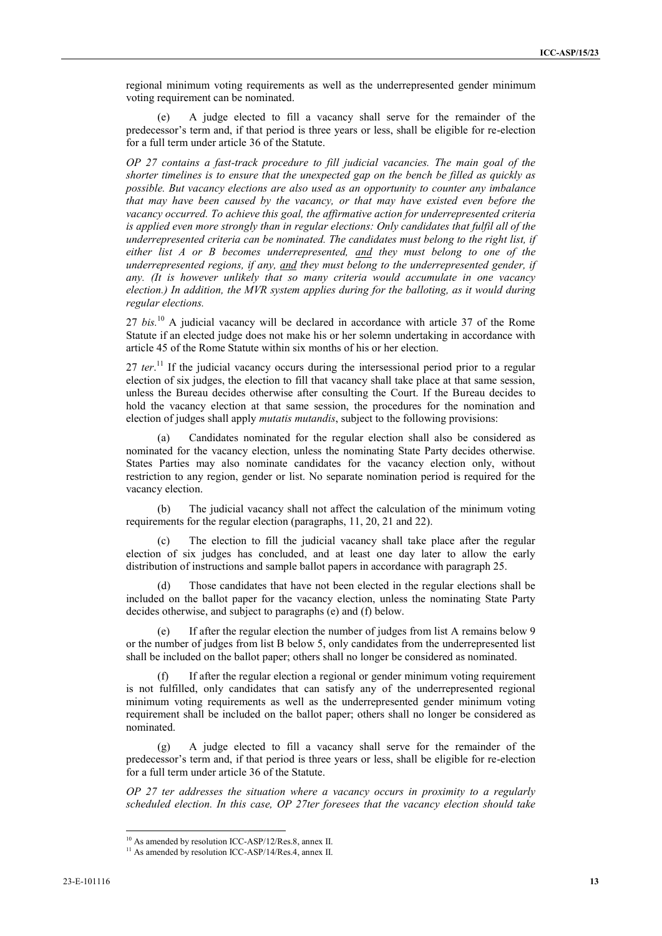regional minimum voting requirements as well as the underrepresented gender minimum voting requirement can be nominated.

A judge elected to fill a vacancy shall serve for the remainder of the predecessor's term and, if that period is three years or less, shall be eligible for re-election for a full term under article 36 of the Statute.

*OP 27 contains a fast-track procedure to fill judicial vacancies. The main goal of the shorter timelines is to ensure that the unexpected gap on the bench be filled as quickly as possible. But vacancy elections are also used as an opportunity to counter any imbalance that may have been caused by the vacancy, or that may have existed even before the vacancy occurred. To achieve this goal, the affirmative action for underrepresented criteria is applied even more strongly than in regular elections: Only candidates that fulfil all of the underrepresented criteria can be nominated. The candidates must belong to the right list, if either list A or B becomes underrepresented, and they must belong to one of the underrepresented regions, if any, and they must belong to the underrepresented gender, if any. (It is however unlikely that so many criteria would accumulate in one vacancy election.) In addition, the MVR system applies during for the balloting, as it would during regular elections.*

27 *bis.*<sup>10</sup> A judicial vacancy will be declared in accordance with article 37 of the Rome Statute if an elected judge does not make his or her solemn undertaking in accordance with article 45 of the Rome Statute within six months of his or her election.

27 *ter*.<sup>11</sup> If the judicial vacancy occurs during the intersessional period prior to a regular election of six judges, the election to fill that vacancy shall take place at that same session, unless the Bureau decides otherwise after consulting the Court. If the Bureau decides to hold the vacancy election at that same session, the procedures for the nomination and election of judges shall apply *mutatis mutandis*, subject to the following provisions:

(a) Candidates nominated for the regular election shall also be considered as nominated for the vacancy election, unless the nominating State Party decides otherwise. States Parties may also nominate candidates for the vacancy election only, without restriction to any region, gender or list. No separate nomination period is required for the vacancy election.

(b) The judicial vacancy shall not affect the calculation of the minimum voting requirements for the regular election (paragraphs, 11, 20, 21 and 22).

The election to fill the judicial vacancy shall take place after the regular election of six judges has concluded, and at least one day later to allow the early distribution of instructions and sample ballot papers in accordance with paragraph 25.

Those candidates that have not been elected in the regular elections shall be included on the ballot paper for the vacancy election, unless the nominating State Party decides otherwise, and subject to paragraphs (e) and (f) below.

(e) If after the regular election the number of judges from list A remains below 9 or the number of judges from list B below 5, only candidates from the underrepresented list shall be included on the ballot paper; others shall no longer be considered as nominated.

(f) If after the regular election a regional or gender minimum voting requirement is not fulfilled, only candidates that can satisfy any of the underrepresented regional minimum voting requirements as well as the underrepresented gender minimum voting requirement shall be included on the ballot paper; others shall no longer be considered as nominated.

A judge elected to fill a vacancy shall serve for the remainder of the predecessor's term and, if that period is three years or less, shall be eligible for re-election for a full term under article 36 of the Statute.

*OP 27 ter addresses the situation where a vacancy occurs in proximity to a regularly scheduled election. In this case, OP 27ter foresees that the vacancy election should take*

<sup>&</sup>lt;sup>10</sup> As amended by resolution ICC-ASP/12/Res.8, annex II. <sup>11</sup> As amended by resolution ICC-ASP/14/Res.4, annex II.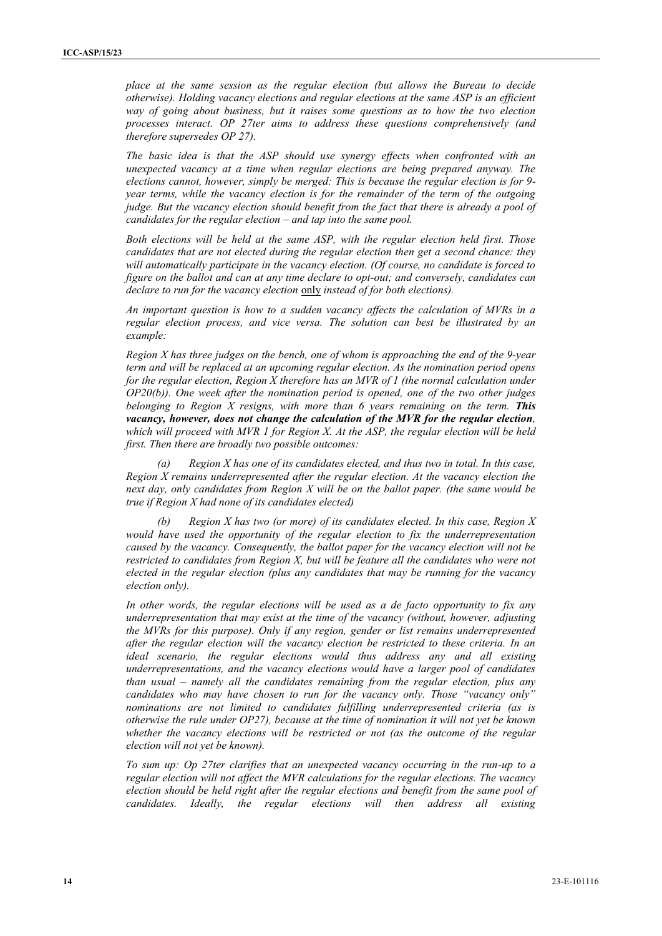*place at the same session as the regular election (but allows the Bureau to decide otherwise). Holding vacancy elections and regular elections at the same ASP is an efficient way of going about business, but it raises some questions as to how the two election processes interact. OP 27ter aims to address these questions comprehensively (and therefore supersedes OP 27).*

*The basic idea is that the ASP should use synergy effects when confronted with an unexpected vacancy at a time when regular elections are being prepared anyway. The elections cannot, however, simply be merged: This is because the regular election is for 9 year terms, while the vacancy election is for the remainder of the term of the outgoing judge. But the vacancy election should benefit from the fact that there is already a pool of candidates for the regular election – and tap into the same pool.*

*Both elections will be held at the same ASP, with the regular election held first. Those candidates that are not elected during the regular election then get a second chance: they will automatically participate in the vacancy election. (Of course, no candidate is forced to figure on the ballot and can at any time declare to opt-out; and conversely, candidates can declare to run for the vacancy election* only *instead of for both elections).*

*An important question is how to a sudden vacancy affects the calculation of MVRs in a regular election process, and vice versa. The solution can best be illustrated by an example:*

*Region X has three judges on the bench, one of whom is approaching the end of the 9-year term and will be replaced at an upcoming regular election. As the nomination period opens for the regular election, Region X therefore has an MVR of 1 (the normal calculation under OP20(b)). One week after the nomination period is opened, one of the two other judges belonging to Region X resigns, with more than 6 years remaining on the term. This vacancy, however, does not change the calculation of the MVR for the regular election, which will proceed with MVR 1 for Region X. At the ASP, the regular election will be held first. Then there are broadly two possible outcomes:*

*(a) Region X has one of its candidates elected, and thus two in total. In this case, Region X remains underrepresented after the regular election. At the vacancy election the next day, only candidates from Region X will be on the ballot paper. (the same would be true if Region X had none of its candidates elected)*

*(b) Region X has two (or more) of its candidates elected. In this case, Region X would have used the opportunity of the regular election to fix the underrepresentation caused by the vacancy. Consequently, the ballot paper for the vacancy election will not be restricted to candidates from Region X, but will be feature all the candidates who were not elected in the regular election (plus any candidates that may be running for the vacancy election only).*

*In other words, the regular elections will be used as a de facto opportunity to fix any underrepresentation that may exist at the time of the vacancy (without, however, adjusting the MVRs for this purpose). Only if any region, gender or list remains underrepresented after the regular election will the vacancy election be restricted to these criteria. In an ideal scenario, the regular elections would thus address any and all existing underrepresentations, and the vacancy elections would have a larger pool of candidates than usual – namely all the candidates remaining from the regular election, plus any candidates who may have chosen to run for the vacancy only. Those "vacancy only" nominations are not limited to candidates fulfilling underrepresented criteria (as is otherwise the rule under OP27), because at the time of nomination it will not yet be known whether the vacancy elections will be restricted or not (as the outcome of the regular election will not yet be known).*

*To sum up: Op 27ter clarifies that an unexpected vacancy occurring in the run-up to a regular election will not affect the MVR calculations for the regular elections. The vacancy election should be held right after the regular elections and benefit from the same pool of candidates. Ideally, the regular elections will then address all existing*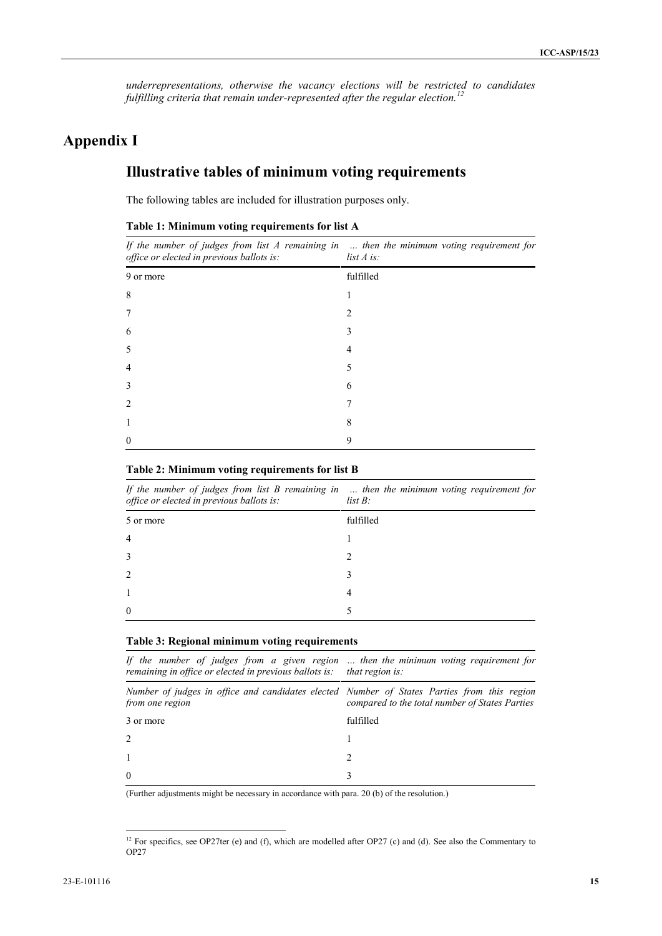*underrepresentations, otherwise the vacancy elections will be restricted to candidates fulfilling criteria that remain under-represented after the regular election.<sup>12</sup>*

# **Appendix I**

# **Illustrative tables of minimum voting requirements**

The following tables are included for illustration purposes only.

| office or elected in previous ballots is: | If the number of judges from list $A$ remaining in $\ldots$ then the minimum voting requirement for<br>$list \, A \, is:$ |
|-------------------------------------------|---------------------------------------------------------------------------------------------------------------------------|
| 9 or more                                 | fulfilled                                                                                                                 |
| 8                                         |                                                                                                                           |
| 7                                         |                                                                                                                           |
| 6                                         |                                                                                                                           |
| 5                                         |                                                                                                                           |
| 4                                         |                                                                                                                           |
| 3                                         | h                                                                                                                         |
| $\mathfrak{D}_{\mathfrak{p}}$             |                                                                                                                           |
|                                           | х                                                                                                                         |
| $\Omega$                                  | 9                                                                                                                         |

#### **Table 1: Minimum voting requirements for list A**

#### **Table 2: Minimum voting requirements for list B**

*If the number of judges from list B remaining in … then the minimum voting requirement for office or elected in previous ballots is: list B:*

| $\cdots$<br>$\sim$ |                |
|--------------------|----------------|
| 5 or more          | fulfilled      |
| $\overline{4}$     |                |
| 3                  | $\mathcal{L}$  |
| 2                  | $\mathcal{E}$  |
|                    | $\overline{4}$ |
| $\boldsymbol{0}$   | 5              |

#### **Table 3: Regional minimum voting requirements**

| If the number of judges from a given region  then the minimum voting requirement for<br>remaining in office or elected in previous ballots is: that region is: |                                                |
|----------------------------------------------------------------------------------------------------------------------------------------------------------------|------------------------------------------------|
| Number of judges in office and candidates elected Number of States Parties from this region<br>from one region                                                 | compared to the total number of States Parties |
| 3 or more                                                                                                                                                      | fulfilled                                      |
| 2                                                                                                                                                              |                                                |
|                                                                                                                                                                |                                                |
| $\theta$                                                                                                                                                       |                                                |

(Further adjustments might be necessary in accordance with para. 20 (b) of the resolution.)

<sup>&</sup>lt;sup>12</sup> For specifics, see OP27ter (e) and (f), which are modelled after OP27 (c) and (d). See also the Commentary to OP27